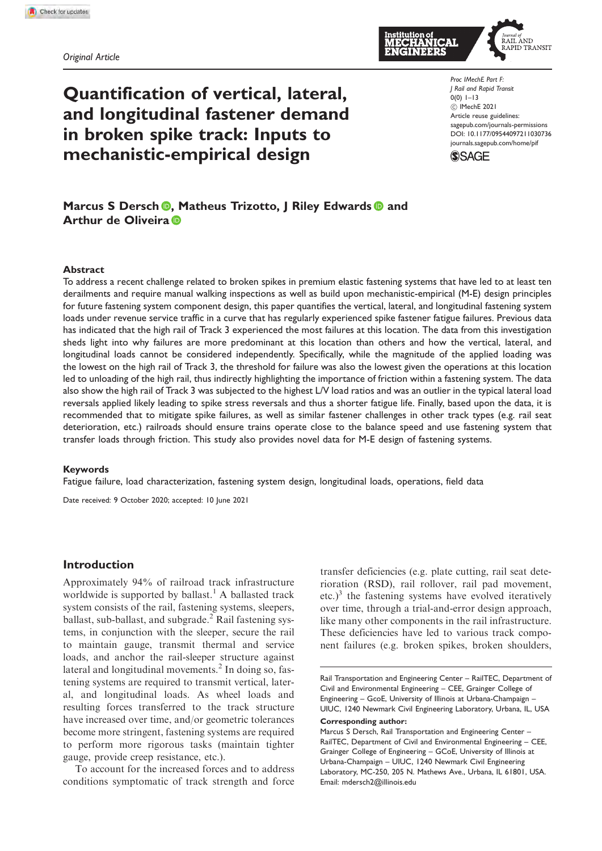Original Article

# Quantification of vertical, lateral, and longitudinal fastener demand in broken spike track: Inputs to mechanistic-empirical design

TRANSIT

Proc IMechE Part F: J Rail and Rapid Transit 0(0) 1–13 ! IMechE 2021 Article reuse guidelines: [sagepub.com/journals-permissions](http://uk.sagepub.com/en-gb/journals-permissions) [DOI: 10.1177/09544097211030736](http://dx.doi.org/10.1177/09544097211030736) <journals.sagepub.com/home/pif>



# Marcus S Dersch **D**. Matheus Trizotto, I Riley Edwards **D** and Arthur de Oliveira **D**

#### Abstract

To address a recent challenge related to broken spikes in premium elastic fastening systems that have led to at least ten derailments and require manual walking inspections as well as build upon mechanistic-empirical (M-E) design principles for future fastening system component design, this paper quantifies the vertical, lateral, and longitudinal fastening system loads under revenue service traffic in a curve that has regularly experienced spike fastener fatigue failures. Previous data has indicated that the high rail of Track 3 experienced the most failures at this location. The data from this investigation sheds light into why failures are more predominant at this location than others and how the vertical, lateral, and longitudinal loads cannot be considered independently. Specifically, while the magnitude of the applied loading was the lowest on the high rail of Track 3, the threshold for failure was also the lowest given the operations at this location led to unloading of the high rail, thus indirectly highlighting the importance of friction within a fastening system. The data also show the high rail of Track 3 was subjected to the highest L/V load ratios and was an outlier in the typical lateral load reversals applied likely leading to spike stress reversals and thus a shorter fatigue life. Finally, based upon the data, it is recommended that to mitigate spike failures, as well as similar fastener challenges in other track types (e.g. rail seat deterioration, etc.) railroads should ensure trains operate close to the balance speed and use fastening system that transfer loads through friction. This study also provides novel data for M-E design of fastening systems.

#### Keywords

Fatigue failure, load characterization, fastening system design, longitudinal loads, operations, field data

Date received: 9 October 2020; accepted: 10 June 2021

## Introduction

Approximately 94% of railroad track infrastructure worldwide is supported by ballast.<sup>1</sup> A ballasted track system consists of the rail, fastening systems, sleepers, ballast, sub-ballast, and subgrade. $<sup>2</sup>$  Rail fastening sys-</sup> tems, in conjunction with the sleeper, secure the rail to maintain gauge, transmit thermal and service loads, and anchor the rail-sleeper structure against lateral and longitudinal movements.<sup>2</sup> In doing so, fastening systems are required to transmit vertical, lateral, and longitudinal loads. As wheel loads and resulting forces transferred to the track structure have increased over time, and/or geometric tolerances become more stringent, fastening systems are required to perform more rigorous tasks (maintain tighter gauge, provide creep resistance, etc.).

To account for the increased forces and to address conditions symptomatic of track strength and force

transfer deficiencies (e.g. plate cutting, rail seat deterioration (RSD), rail rollover, rail pad movement, etc.)<sup>3</sup> the fastening systems have evolved iteratively over time, through a trial-and-error design approach, like many other components in the rail infrastructure. These deficiencies have led to various track component failures (e.g. broken spikes, broken shoulders,

Rail Transportation and Engineering Center – RailTEC, Department of Civil and Environmental Engineering – CEE, Grainger College of Engineering – GcoE, University of Illinois at Urbana-Champaign – UIUC, 1240 Newmark Civil Engineering Laboratory, Urbana, IL, USA Corresponding author:

Marcus S Dersch, Rail Transportation and Engineering Center – RailTEC, Department of Civil and Environmental Engineering – CEE, Grainger College of Engineering – GCoE, University of Illinois at Urbana-Champaign – UIUC, 1240 Newmark Civil Engineering Laboratory, MC-250, 205 N. Mathews Ave., Urbana, IL 61801, USA. [Email:](mailto:Email:) [mdersch2@illinois.edu](mailto:mdersch2@illinois.edu)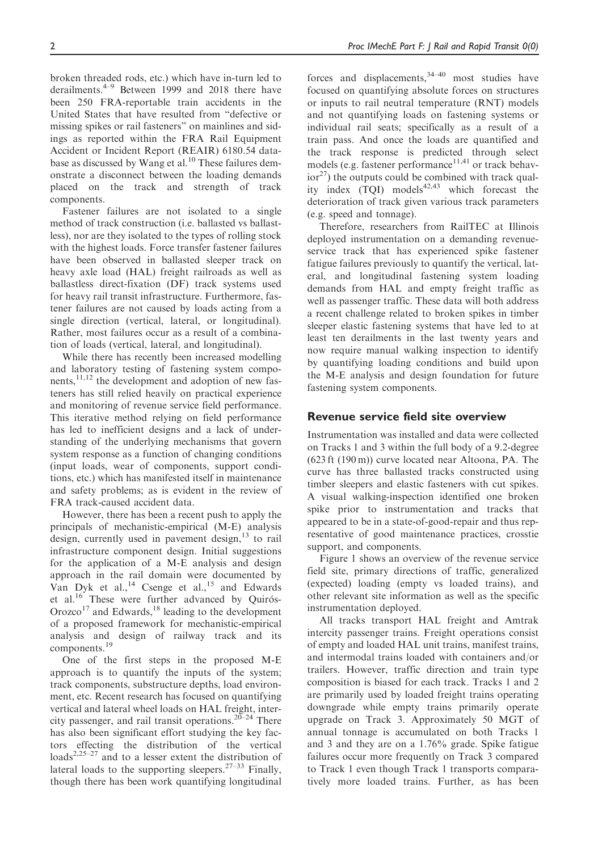broken threaded rods, etc.) which have in-turn led to derailments.4–9 Between 1999 and 2018 there have been 250 FRA-reportable train accidents in the United States that have resulted from "defective or missing spikes or rail fasteners" on mainlines and sidings as reported within the FRA Rail Equipment Accident or Incident Report (REAIR) 6180.54 database as discussed by Wang et al.<sup>10</sup> These failures demonstrate a disconnect between the loading demands placed on the track and strength of track components.

Fastener failures are not isolated to a single method of track construction (i.e. ballasted vs ballastless), nor are they isolated to the types of rolling stock with the highest loads. Force transfer fastener failures have been observed in ballasted sleeper track on heavy axle load (HAL) freight railroads as well as ballastless direct-fixation (DF) track systems used for heavy rail transit infrastructure. Furthermore, fastener failures are not caused by loads acting from a single direction (vertical, lateral, or longitudinal). Rather, most failures occur as a result of a combination of loads (vertical, lateral, and longitudinal).

While there has recently been increased modelling and laboratory testing of fastening system components, $11,12$  the development and adoption of new fasteners has still relied heavily on practical experience and monitoring of revenue service field performance. This iterative method relying on field performance has led to inefficient designs and a lack of understanding of the underlying mechanisms that govern system response as a function of changing conditions (input loads, wear of components, support conditions, etc.) which has manifested itself in maintenance and safety problems; as is evident in the review of FRA track-caused accident data.

However, there has been a recent push to apply the principals of mechanistic-empirical (M-E) analysis design, currently used in pavement design,  $13$  to rail infrastructure component design. Initial suggestions for the application of a M-E analysis and design approach in the rail domain were documented by Van Dyk et al.,<sup>14</sup> Csenge et al.,<sup>15</sup> and Edwards et al.<sup>16</sup> These were further advanced by Quirós-Orozco<sup>17</sup> and Edwards,<sup>18</sup> leading to the development of a proposed framework for mechanistic-empirical analysis and design of railway track and its components.<sup>19</sup>

One of the first steps in the proposed M-E approach is to quantify the inputs of the system; track components, substructure depths, load environment, etc. Recent research has focused on quantifying vertical and lateral wheel loads on HAL freight, intercity passenger, and rail transit operations.<sup>20–24</sup> There has also been significant effort studying the key factors effecting the distribution of the vertical loads<sup>2,25–27</sup> and to a lesser extent the distribution of lateral loads to the supporting sleepers.  $27-33$  Finally, though there has been work quantifying longitudinal

forces and displacements,  $34-40$  most studies have focused on quantifying absolute forces on structures or inputs to rail neutral temperature (RNT) models and not quantifying loads on fastening systems or individual rail seats; specifically as a result of a train pass. And once the loads are quantified and the track response is predicted through select models (e.g. fastener performance $11,41$  or track behav- $\arccos(10^{-27})$  the outputs could be combined with track quality index  $(TQI)$  models<sup>42,43</sup> which forecast the deterioration of track given various track parameters (e.g. speed and tonnage).

Therefore, researchers from RailTEC at Illinois deployed instrumentation on a demanding revenueservice track that has experienced spike fastener fatigue failures previously to quantify the vertical, lateral, and longitudinal fastening system loading demands from HAL and empty freight traffic as well as passenger traffic. These data will both address a recent challenge related to broken spikes in timber sleeper elastic fastening systems that have led to at least ten derailments in the last twenty years and now require manual walking inspection to identify by quantifying loading conditions and build upon the M-E analysis and design foundation for future fastening system components.

# Revenue service field site overview

Instrumentation was installed and data were collected on Tracks 1 and 3 within the full body of a 9.2-degree (623 ft (190 m)) curve located near Altoona, PA. The curve has three ballasted tracks constructed using timber sleepers and elastic fasteners with cut spikes. A visual walking-inspection identified one broken spike prior to instrumentation and tracks that appeared to be in a state-of-good-repair and thus representative of good maintenance practices, crosstie support, and components.

Figure 1 shows an overview of the revenue service field site, primary directions of traffic, generalized (expected) loading (empty vs loaded trains), and other relevant site information as well as the specific instrumentation deployed.

All tracks transport HAL freight and Amtrak intercity passenger trains. Freight operations consist of empty and loaded HAL unit trains, manifest trains, and intermodal trains loaded with containers and/or trailers. However, traffic direction and train type composition is biased for each track. Tracks 1 and 2 are primarily used by loaded freight trains operating downgrade while empty trains primarily operate upgrade on Track 3. Approximately 50 MGT of annual tonnage is accumulated on both Tracks 1 and 3 and they are on a 1.76% grade. Spike fatigue failures occur more frequently on Track 3 compared to Track 1 even though Track 1 transports comparatively more loaded trains. Further, as has been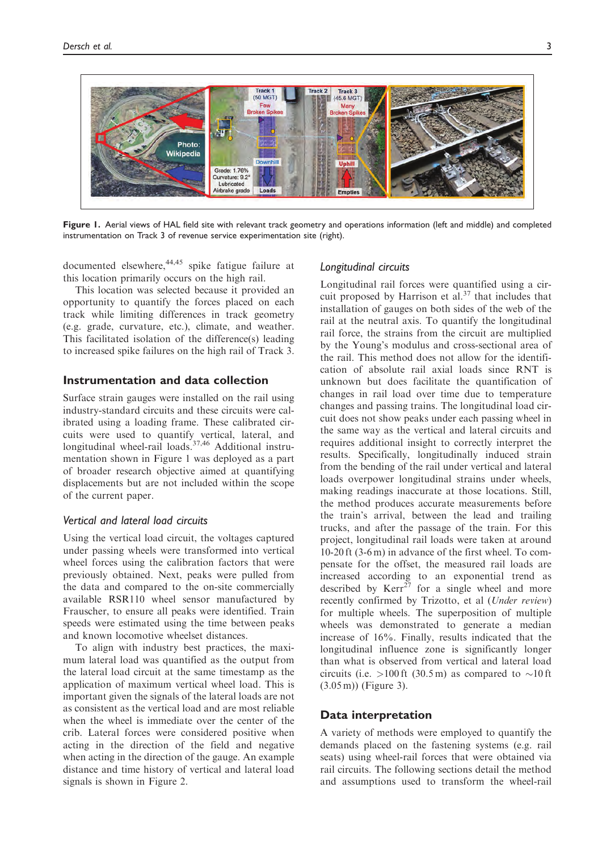

Figure 1. Aerial views of HAL field site with relevant track geometry and operations information (left and middle) and completed instrumentation on Track 3 of revenue service experimentation site (right).

documented elsewhere,  $44,45$  spike fatigue failure at this location primarily occurs on the high rail.

This location was selected because it provided an opportunity to quantify the forces placed on each track while limiting differences in track geometry (e.g. grade, curvature, etc.), climate, and weather. This facilitated isolation of the difference(s) leading to increased spike failures on the high rail of Track 3.

# Instrumentation and data collection

Surface strain gauges were installed on the rail using industry-standard circuits and these circuits were calibrated using a loading frame. These calibrated circuits were used to quantify vertical, lateral, and longitudinal wheel-rail loads.<sup>37,46</sup> Additional instrumentation shown in Figure 1 was deployed as a part of broader research objective aimed at quantifying displacements but are not included within the scope of the current paper.

#### Vertical and lateral load circuits

Using the vertical load circuit, the voltages captured under passing wheels were transformed into vertical wheel forces using the calibration factors that were previously obtained. Next, peaks were pulled from the data and compared to the on-site commercially available RSR110 wheel sensor manufactured by Frauscher, to ensure all peaks were identified. Train speeds were estimated using the time between peaks and known locomotive wheelset distances.

To align with industry best practices, the maximum lateral load was quantified as the output from the lateral load circuit at the same timestamp as the application of maximum vertical wheel load. This is important given the signals of the lateral loads are not as consistent as the vertical load and are most reliable when the wheel is immediate over the center of the crib. Lateral forces were considered positive when acting in the direction of the field and negative when acting in the direction of the gauge. An example distance and time history of vertical and lateral load signals is shown in Figure 2.

#### Longitudinal circuits

Longitudinal rail forces were quantified using a circuit proposed by Harrison et  $aI$ .<sup>37</sup> that includes that installation of gauges on both sides of the web of the rail at the neutral axis. To quantify the longitudinal rail force, the strains from the circuit are multiplied by the Young's modulus and cross-sectional area of the rail. This method does not allow for the identification of absolute rail axial loads since RNT is unknown but does facilitate the quantification of changes in rail load over time due to temperature changes and passing trains. The longitudinal load circuit does not show peaks under each passing wheel in the same way as the vertical and lateral circuits and requires additional insight to correctly interpret the results. Specifically, longitudinally induced strain from the bending of the rail under vertical and lateral loads overpower longitudinal strains under wheels, making readings inaccurate at those locations. Still, the method produces accurate measurements before the train's arrival, between the lead and trailing trucks, and after the passage of the train. For this project, longitudinal rail loads were taken at around 10-20 ft (3-6 m) in advance of the first wheel. To compensate for the offset, the measured rail loads are increased according to an exponential trend as described by  $Kerr^{27}$  for a single wheel and more recently confirmed by Trizotto, et al (Under review) for multiple wheels. The superposition of multiple wheels was demonstrated to generate a median increase of 16%. Finally, results indicated that the longitudinal influence zone is significantly longer than what is observed from vertical and lateral load circuits (i.e.  $>100$  ft (30.5 m) as compared to  $\sim 10$  ft (3.05 m)) (Figure 3).

# Data interpretation

A variety of methods were employed to quantify the demands placed on the fastening systems (e.g. rail seats) using wheel-rail forces that were obtained via rail circuits. The following sections detail the method and assumptions used to transform the wheel-rail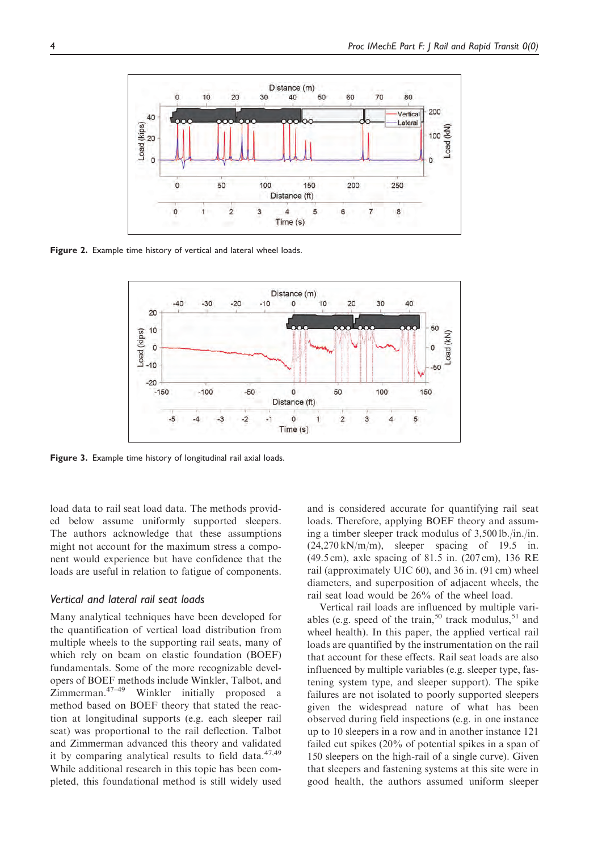

Figure 2. Example time history of vertical and lateral wheel loads.



Figure 3. Example time history of longitudinal rail axial loads.

load data to rail seat load data. The methods provided below assume uniformly supported sleepers. The authors acknowledge that these assumptions might not account for the maximum stress a component would experience but have confidence that the loads are useful in relation to fatigue of components.

#### Vertical and lateral rail seat loads

Many analytical techniques have been developed for the quantification of vertical load distribution from multiple wheels to the supporting rail seats, many of which rely on beam on elastic foundation (BOEF) fundamentals. Some of the more recognizable developers of BOEF methods include Winkler, Talbot, and Zimmerman.47–49 Winkler initially proposed a method based on BOEF theory that stated the reaction at longitudinal supports (e.g. each sleeper rail seat) was proportional to the rail deflection. Talbot and Zimmerman advanced this theory and validated it by comparing analytical results to field data. $47,49$ While additional research in this topic has been completed, this foundational method is still widely used and is considered accurate for quantifying rail seat loads. Therefore, applying BOEF theory and assuming a timber sleeper track modulus of 3,500 lb./in./in.  $(24,270 \text{ kN/m/m})$ , sleeper spacing of 19.5 in. (49.5 cm), axle spacing of 81.5 in. (207 cm), 136 RE rail (approximately UIC 60), and 36 in. (91 cm) wheel diameters, and superposition of adjacent wheels, the rail seat load would be 26% of the wheel load.

Vertical rail loads are influenced by multiple variables (e.g. speed of the train,<sup>50</sup> track modulus, $51$  and wheel health). In this paper, the applied vertical rail loads are quantified by the instrumentation on the rail that account for these effects. Rail seat loads are also influenced by multiple variables (e.g. sleeper type, fastening system type, and sleeper support). The spike failures are not isolated to poorly supported sleepers given the widespread nature of what has been observed during field inspections (e.g. in one instance up to 10 sleepers in a row and in another instance 121 failed cut spikes (20% of potential spikes in a span of 150 sleepers on the high-rail of a single curve). Given that sleepers and fastening systems at this site were in good health, the authors assumed uniform sleeper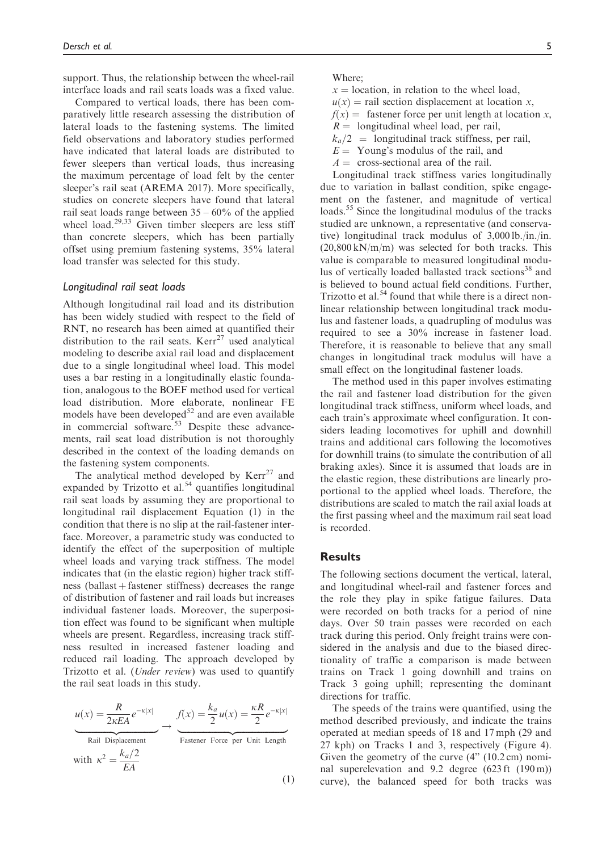support. Thus, the relationship between the wheel-rail interface loads and rail seats loads was a fixed value.

Compared to vertical loads, there has been comparatively little research assessing the distribution of lateral loads to the fastening systems. The limited field observations and laboratory studies performed have indicated that lateral loads are distributed to fewer sleepers than vertical loads, thus increasing the maximum percentage of load felt by the center sleeper's rail seat (AREMA 2017). More specifically, studies on concrete sleepers have found that lateral rail seat loads range between  $35 - 60\%$  of the applied wheel load. $29,33$  Given timber sleepers are less stiff than concrete sleepers, which has been partially offset using premium fastening systems, 35% lateral load transfer was selected for this study.

#### Longitudinal rail seat loads

Although longitudinal rail load and its distribution has been widely studied with respect to the field of RNT, no research has been aimed at quantified their distribution to the rail seats.  $Kerr^{27}$  used analytical modeling to describe axial rail load and displacement due to a single longitudinal wheel load. This model uses a bar resting in a longitudinally elastic foundation, analogous to the BOEF method used for vertical load distribution. More elaborate, nonlinear FE models have been developed $52$  and are even available in commercial software.<sup>53</sup> Despite these advancements, rail seat load distribution is not thoroughly described in the context of the loading demands on the fastening system components.

The analytical method developed by  $Kerr^{27}$  and expanded by Trizotto et al.<sup>54</sup> quantifies longitudinal rail seat loads by assuming they are proportional to longitudinal rail displacement Equation (1) in the condition that there is no slip at the rail-fastener interface. Moreover, a parametric study was conducted to identify the effect of the superposition of multiple wheel loads and varying track stiffness. The model indicates that (in the elastic region) higher track stiffness (ballast  $+$  fastener stiffness) decreases the range of distribution of fastener and rail loads but increases individual fastener loads. Moreover, the superposition effect was found to be significant when multiple wheels are present. Regardless, increasing track stiffness resulted in increased fastener loading and reduced rail loading. The approach developed by Trizotto et al. (Under review) was used to quantify the rail seat loads in this study.

$$
u(x) = \frac{R}{2\kappa EA} e^{-\kappa |x|} \longrightarrow f(x) = \frac{k_a}{2} u(x) = \frac{\kappa R}{2} e^{-\kappa |x|}
$$
  
\nRail Displacement  
\nwith  $\kappa^2 = \frac{k_a/2}{EA}$  (1)

Where;

- $x =$  location, in relation to the wheel load,
- $u(x)$  = rail section displacement at location x,

 $f(x) =$  fastener force per unit length at location x,

- $R =$  longitudinal wheel load, per rail,
- $k_a/2$  = longitudinal track stiffness, per rail,
- $E =$  Young's modulus of the rail, and
- $A = \text{cross-sectional area of the rail.}$

Longitudinal track stiffness varies longitudinally due to variation in ballast condition, spike engagement on the fastener, and magnitude of vertical loads.<sup>55</sup> Since the longitudinal modulus of the tracks studied are unknown, a representative (and conservative) longitudinal track modulus of 3,000 lb./in./in. (20,800 kN/m/m) was selected for both tracks. This value is comparable to measured longitudinal modulus of vertically loaded ballasted track sections<sup>38</sup> and is believed to bound actual field conditions. Further, Trizotto et al.<sup>54</sup> found that while there is a direct nonlinear relationship between longitudinal track modulus and fastener loads, a quadrupling of modulus was required to see a 30% increase in fastener load. Therefore, it is reasonable to believe that any small changes in longitudinal track modulus will have a small effect on the longitudinal fastener loads.

The method used in this paper involves estimating the rail and fastener load distribution for the given longitudinal track stiffness, uniform wheel loads, and each train's approximate wheel configuration. It considers leading locomotives for uphill and downhill trains and additional cars following the locomotives for downhill trains (to simulate the contribution of all braking axles). Since it is assumed that loads are in the elastic region, these distributions are linearly proportional to the applied wheel loads. Therefore, the distributions are scaled to match the rail axial loads at the first passing wheel and the maximum rail seat load is recorded.

# **Results**

The following sections document the vertical, lateral, and longitudinal wheel-rail and fastener forces and the role they play in spike fatigue failures. Data were recorded on both tracks for a period of nine days. Over 50 train passes were recorded on each track during this period. Only freight trains were considered in the analysis and due to the biased directionality of traffic a comparison is made between trains on Track 1 going downhill and trains on Track 3 going uphill; representing the dominant directions for traffic.

The speeds of the trains were quantified, using the method described previously, and indicate the trains operated at median speeds of 18 and 17 mph (29 and 27 kph) on Tracks 1 and 3, respectively (Figure 4). Given the geometry of the curve (4" (10.2 cm) nominal superelevation and 9.2 degree (623 ft (190 m)) curve), the balanced speed for both tracks was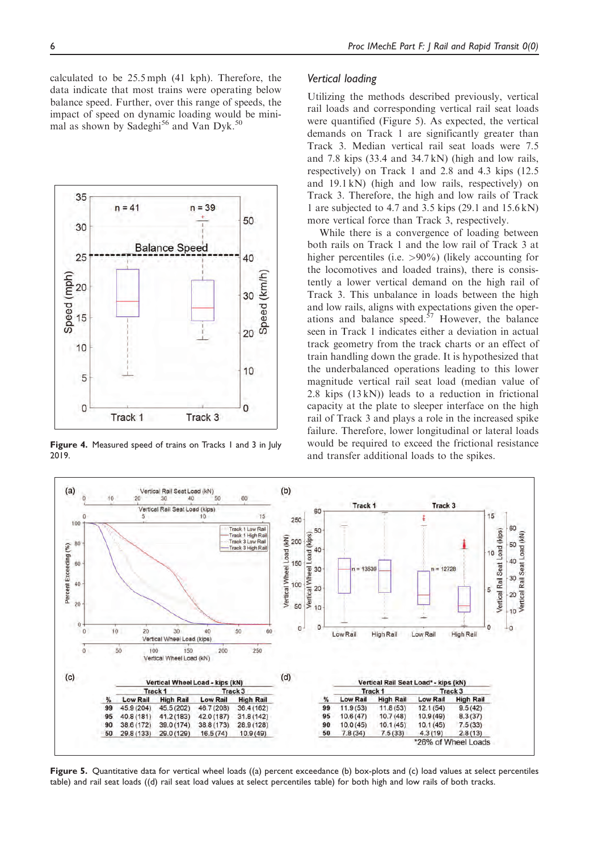calculated to be 25.5 mph (41 kph). Therefore, the data indicate that most trains were operating below balance speed. Further, over this range of speeds, the impact of speed on dynamic loading would be minimal as shown by Sadeghi<sup>56</sup> and Van Dyk.<sup>50</sup>



Figure 4. Measured speed of trains on Tracks 1 and 3 in July 2019.

#### Vertical loading

Utilizing the methods described previously, vertical rail loads and corresponding vertical rail seat loads were quantified (Figure 5). As expected, the vertical demands on Track 1 are significantly greater than Track 3. Median vertical rail seat loads were 7.5 and 7.8 kips (33.4 and 34.7 kN) (high and low rails, respectively) on Track 1 and 2.8 and 4.3 kips (12.5 and 19.1 kN) (high and low rails, respectively) on Track 3. Therefore, the high and low rails of Track 1 are subjected to 4.7 and 3.5 kips (29.1 and 15.6 kN) more vertical force than Track 3, respectively.

While there is a convergence of loading between both rails on Track 1 and the low rail of Track 3 at higher percentiles (i.e. >90%) (likely accounting for the locomotives and loaded trains), there is consistently a lower vertical demand on the high rail of Track 3. This unbalance in loads between the high and low rails, aligns with expectations given the operations and balance speed. $57$  However, the balance seen in Track 1 indicates either a deviation in actual track geometry from the track charts or an effect of train handling down the grade. It is hypothesized that the underbalanced operations leading to this lower magnitude vertical rail seat load (median value of 2.8 kips  $(13 kN)$ ) leads to a reduction in frictional capacity at the plate to sleeper interface on the high rail of Track 3 and plays a role in the increased spike failure. Therefore, lower longitudinal or lateral loads would be required to exceed the frictional resistance and transfer additional loads to the spikes.



Figure 5. Quantitative data for vertical wheel loads ((a) percent exceedance (b) box-plots and (c) load values at select percentiles table) and rail seat loads ((d) rail seat load values at select percentiles table) for both high and low rails of both tracks.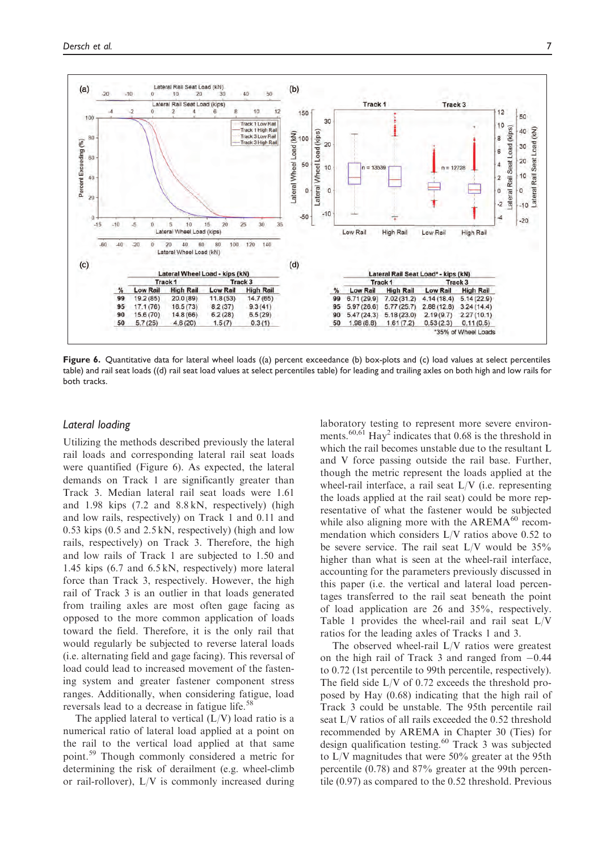

Figure 6. Quantitative data for lateral wheel loads ((a) percent exceedance (b) box-plots and (c) load values at select percentiles table) and rail seat loads ((d) rail seat load values at select percentiles table) for leading and trailing axles on both high and low rails for both tracks.

### Lateral loading

Utilizing the methods described previously the lateral rail loads and corresponding lateral rail seat loads were quantified (Figure 6). As expected, the lateral demands on Track 1 are significantly greater than Track 3. Median lateral rail seat loads were 1.61 and 1.98 kips (7.2 and 8.8 kN, respectively) (high and low rails, respectively) on Track 1 and 0.11 and 0.53 kips (0.5 and 2.5 kN, respectively) (high and low rails, respectively) on Track 3. Therefore, the high and low rails of Track 1 are subjected to 1.50 and 1.45 kips (6.7 and 6.5 kN, respectively) more lateral force than Track 3, respectively. However, the high rail of Track 3 is an outlier in that loads generated from trailing axles are most often gage facing as opposed to the more common application of loads toward the field. Therefore, it is the only rail that would regularly be subjected to reverse lateral loads (i.e. alternating field and gage facing). This reversal of load could lead to increased movement of the fastening system and greater fastener component stress ranges. Additionally, when considering fatigue, load reversals lead to a decrease in fatigue life.<sup>58</sup>

The applied lateral to vertical  $(L/V)$  load ratio is a numerical ratio of lateral load applied at a point on the rail to the vertical load applied at that same point.<sup>59</sup> Though commonly considered a metric for determining the risk of derailment (e.g. wheel-climb or rail-rollover), L/V is commonly increased during laboratory testing to represent more severe environments.<sup>60,61</sup> Hay<sup>2</sup> indicates that 0.68 is the threshold in which the rail becomes unstable due to the resultant L and V force passing outside the rail base. Further, though the metric represent the loads applied at the wheel-rail interface, a rail seat  $L/V$  (i.e. representing the loads applied at the rail seat) could be more representative of what the fastener would be subjected while also aligning more with the  $AREMA^{60}$  recommendation which considers L/V ratios above 0.52 to be severe service. The rail seat L/V would be 35% higher than what is seen at the wheel-rail interface, accounting for the parameters previously discussed in this paper (i.e. the vertical and lateral load percentages transferred to the rail seat beneath the point of load application are 26 and 35%, respectively. Table 1 provides the wheel-rail and rail seat L/V ratios for the leading axles of Tracks 1 and 3.

The observed wheel-rail L/V ratios were greatest on the high rail of Track 3 and ranged from  $-0.44$ to 0.72 (1st percentile to 99th percentile, respectively). The field side L/V of 0.72 exceeds the threshold proposed by Hay (0.68) indicating that the high rail of Track 3 could be unstable. The 95th percentile rail seat L/V ratios of all rails exceeded the 0.52 threshold recommended by AREMA in Chapter 30 (Ties) for design qualification testing.<sup>60</sup> Track 3 was subjected to  $L/V$  magnitudes that were 50% greater at the 95th percentile (0.78) and 87% greater at the 99th percentile (0.97) as compared to the 0.52 threshold. Previous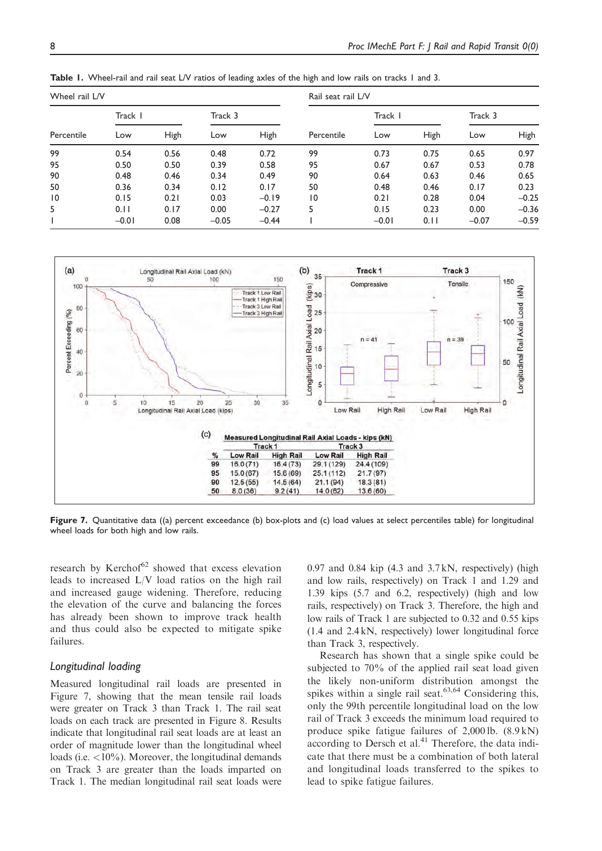| Wheel rail L/V |         |      |         |         | Rail seat rail L/V |         |      |         |             |
|----------------|---------|------|---------|---------|--------------------|---------|------|---------|-------------|
| Percentile     | Track I |      | Track 3 |         |                    | Track I |      | Track 3 |             |
|                | Low     | High | Low     | High    | Percentile         | Low     | High | Low     | <b>High</b> |
| 99             | 0.54    | 0.56 | 0.48    | 0.72    | 99                 | 0.73    | 0.75 | 0.65    | 0.97        |
| 95             | 0.50    | 0.50 | 0.39    | 0.58    | 95                 | 0.67    | 0.67 | 0.53    | 0.78        |
| 90             | 0.48    | 0.46 | 0.34    | 0.49    | 90                 | 0.64    | 0.63 | 0.46    | 0.65        |
| 50             | 0.36    | 0.34 | 0.12    | 0.17    | 50                 | 0.48    | 0.46 | 0.17    | 0.23        |
| 10             | 0.15    | 0.21 | 0.03    | $-0.19$ | $\overline{10}$    | 0.21    | 0.28 | 0.04    | $-0.25$     |
| 5              | 0.11    | 0.17 | 0.00    | $-0.27$ | 5.                 | 0.15    | 0.23 | 0.00    | $-0.36$     |
|                | $-0.01$ | 0.08 | $-0.05$ | $-0.44$ |                    | $-0.01$ | 0.11 | $-0.07$ | $-0.59$     |

Table 1. Wheel-rail and rail seat L/V ratios of leading axles of the high and low rails on tracks 1 and 3.



Figure 7. Quantitative data ((a) percent exceedance (b) box-plots and (c) load values at select percentiles table) for longitudinal wheel loads for both high and low rails.

research by Kerchof $62$  showed that excess elevation leads to increased L/V load ratios on the high rail and increased gauge widening. Therefore, reducing the elevation of the curve and balancing the forces has already been shown to improve track health and thus could also be expected to mitigate spike failures.

#### Longitudinal loading

Measured longitudinal rail loads are presented in Figure 7, showing that the mean tensile rail loads were greater on Track 3 than Track 1. The rail seat loads on each track are presented in Figure 8. Results indicate that longitudinal rail seat loads are at least an order of magnitude lower than the longitudinal wheel loads (i.e. <10%). Moreover, the longitudinal demands on Track 3 are greater than the loads imparted on Track 1. The median longitudinal rail seat loads were  $0.97$  and  $0.84$  kip  $(4.3 \text{ and } 3.7 \text{ kN})$ , respectively) (high and low rails, respectively) on Track 1 and 1.29 and 1.39 kips (5.7 and 6.2, respectively) (high and low rails, respectively) on Track 3. Therefore, the high and low rails of Track 1 are subjected to 0.32 and 0.55 kips (1.4 and 2.4 kN, respectively) lower longitudinal force than Track 3, respectively.

Research has shown that a single spike could be subjected to 70% of the applied rail seat load given the likely non-uniform distribution amongst the spikes within a single rail seat. $63,64$  Considering this, only the 99th percentile longitudinal load on the low rail of Track 3 exceeds the minimum load required to produce spike fatigue failures of 2,000 lb. (8.9 kN)  $\frac{1}{4}$  according to Dersch et al.<sup>41</sup> Therefore, the data indicate that there must be a combination of both lateral and longitudinal loads transferred to the spikes to lead to spike fatigue failures.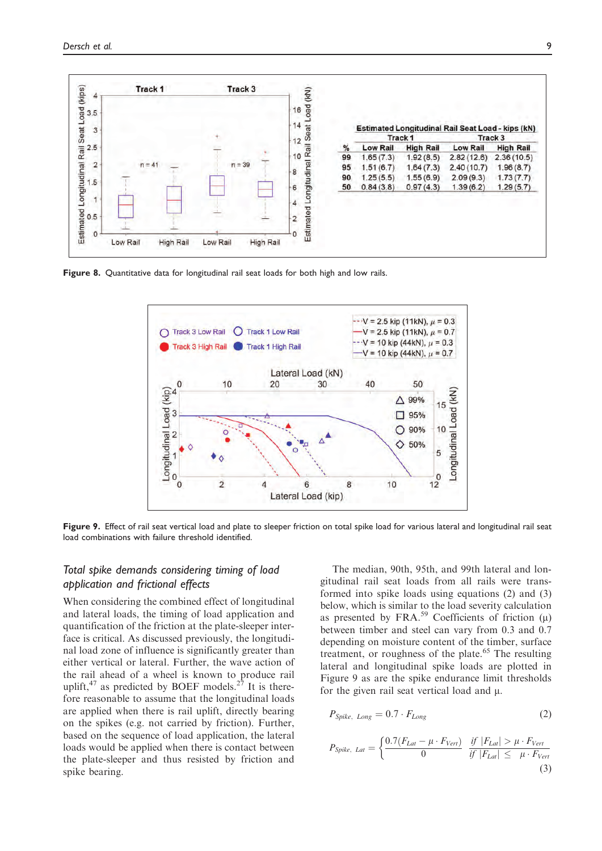

Figure 8. Quantitative data for longitudinal rail seat loads for both high and low rails.



Figure 9. Effect of rail seat vertical load and plate to sleeper friction on total spike load for various lateral and longitudinal rail seat load combinations with failure threshold identified.

# Total spike demands considering timing of load application and frictional effects

When considering the combined effect of longitudinal and lateral loads, the timing of load application and quantification of the friction at the plate-sleeper interface is critical. As discussed previously, the longitudinal load zone of influence is significantly greater than either vertical or lateral. Further, the wave action of the rail ahead of a wheel is known to produce rail uplift, $47$  as predicted by BOEF models.<sup>27</sup> It is therefore reasonable to assume that the longitudinal loads are applied when there is rail uplift, directly bearing on the spikes (e.g. not carried by friction). Further, based on the sequence of load application, the lateral loads would be applied when there is contact between the plate-sleeper and thus resisted by friction and spike bearing.

The median, 90th, 95th, and 99th lateral and longitudinal rail seat loads from all rails were transformed into spike loads using equations (2) and (3) below, which is similar to the load severity calculation as presented by FRA.<sup>59</sup> Coefficients of friction  $(\mu)$ between timber and steel can vary from 0.3 and 0.7 depending on moisture content of the timber, surface treatment, or roughness of the plate.<sup>65</sup> The resulting lateral and longitudinal spike loads are plotted in Figure 9 as are the spike endurance limit thresholds for the given rail seat vertical load and  $\mu$ .

$$
P_{\text{Spike}, Long} = 0.7 \cdot F_{\text{Long}} \tag{2}
$$

$$
P_{Spike, Lat} = \begin{cases} \frac{0.7(F_{Lat} - \mu \cdot F_{Vert})}{0} & \frac{if \ |F_{Lat}| > \mu \cdot F_{Vert}}{if \ |F_{Lat}| \leq \mu \cdot F_{Vert}} \\ \end{cases}
$$
\n(3)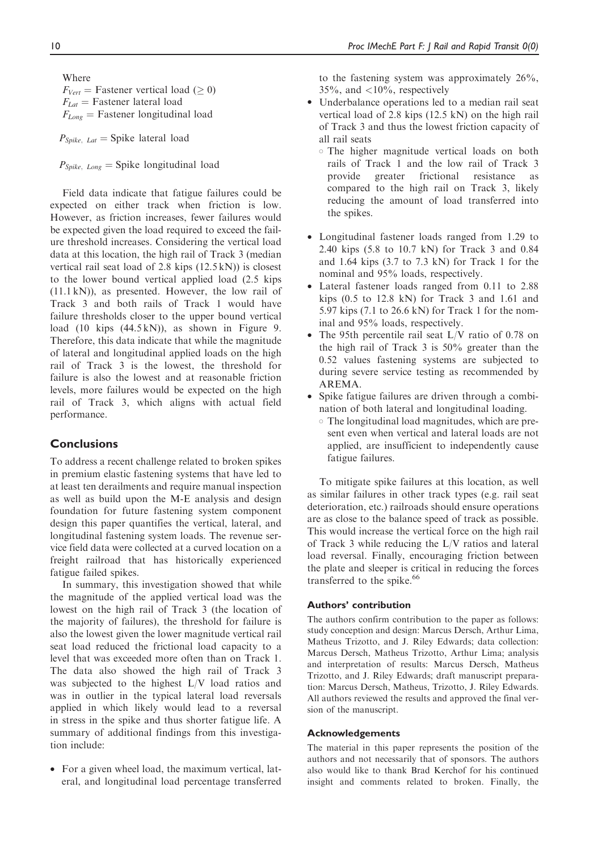Where  $F_{Vert}$  = Fastener vertical load ( $\geq 0$ )  $F_{Lat}$  = Fastener lateral load  $F_{Long}$  = Fastener longitudinal load

 $P_{\text{Spike}, Lat} = \text{Spike lateral load}$ 

 $P_{\text{Spike}, Long} = \text{Spike longitudinal load}$ 

Field data indicate that fatigue failures could be expected on either track when friction is low. However, as friction increases, fewer failures would be expected given the load required to exceed the failure threshold increases. Considering the vertical load data at this location, the high rail of Track 3 (median vertical rail seat load of 2.8 kips (12.5 kN)) is closest to the lower bound vertical applied load (2.5 kips (11.1 kN)), as presented. However, the low rail of Track 3 and both rails of Track 1 would have failure thresholds closer to the upper bound vertical load (10 kips (44.5 kN)), as shown in Figure 9. Therefore, this data indicate that while the magnitude of lateral and longitudinal applied loads on the high rail of Track 3 is the lowest, the threshold for failure is also the lowest and at reasonable friction levels, more failures would be expected on the high rail of Track 3, which aligns with actual field performance.

# **Conclusions**

To address a recent challenge related to broken spikes in premium elastic fastening systems that have led to at least ten derailments and require manual inspection as well as build upon the M-E analysis and design foundation for future fastening system component design this paper quantifies the vertical, lateral, and longitudinal fastening system loads. The revenue service field data were collected at a curved location on a freight railroad that has historically experienced fatigue failed spikes.

In summary, this investigation showed that while the magnitude of the applied vertical load was the lowest on the high rail of Track 3 (the location of the majority of failures), the threshold for failure is also the lowest given the lower magnitude vertical rail seat load reduced the frictional load capacity to a level that was exceeded more often than on Track 1. The data also showed the high rail of Track 3 was subjected to the highest L/V load ratios and was in outlier in the typical lateral load reversals applied in which likely would lead to a reversal in stress in the spike and thus shorter fatigue life. A summary of additional findings from this investigation include:

• For a given wheel load, the maximum vertical, lateral, and longitudinal load percentage transferred to the fastening system was approximately 26%,  $35\%$ , and  $\langle 10\%$ , respectively

- Underbalance operations led to a median rail seat vertical load of 2.8 kips (12.5 kN) on the high rail of Track 3 and thus the lowest friction capacity of all rail seats
	- The higher magnitude vertical loads on both rails of Track 1 and the low rail of Track 3 provide greater frictional resistance as compared to the high rail on Track 3, likely reducing the amount of load transferred into the spikes.
- Longitudinal fastener loads ranged from 1.29 to 2.40 kips (5.8 to 10.7 kN) for Track 3 and 0.84 and 1.64 kips (3.7 to 7.3 kN) for Track 1 for the nominal and 95% loads, respectively.
- Lateral fastener loads ranged from 0.11 to 2.88 kips (0.5 to 12.8 kN) for Track 3 and 1.61 and 5.97 kips (7.1 to 26.6 kN) for Track 1 for the nominal and 95% loads, respectively.
- The 95th percentile rail seat L/V ratio of 0.78 on the high rail of Track 3 is 50% greater than the 0.52 values fastening systems are subjected to during severe service testing as recommended by AREMA.
- Spike fatigue failures are driven through a combination of both lateral and longitudinal loading.
	- The longitudinal load magnitudes, which are present even when vertical and lateral loads are not applied, are insufficient to independently cause fatigue failures.

To mitigate spike failures at this location, as well as similar failures in other track types (e.g. rail seat deterioration, etc.) railroads should ensure operations are as close to the balance speed of track as possible. This would increase the vertical force on the high rail of Track 3 while reducing the L/V ratios and lateral load reversal. Finally, encouraging friction between the plate and sleeper is critical in reducing the forces transferred to the spike.<sup>66</sup>

#### Authors' contribution

The authors confirm contribution to the paper as follows: study conception and design: Marcus Dersch, Arthur Lima, Matheus Trizotto, and J. Riley Edwards; data collection: Marcus Dersch, Matheus Trizotto, Arthur Lima; analysis and interpretation of results: Marcus Dersch, Matheus Trizotto, and J. Riley Edwards; draft manuscript preparation: Marcus Dersch, Matheus, Trizotto, J. Riley Edwards. All authors reviewed the results and approved the final version of the manuscript.

#### Acknowledgements

The material in this paper represents the position of the authors and not necessarily that of sponsors. The authors also would like to thank Brad Kerchof for his continued insight and comments related to broken. Finally, the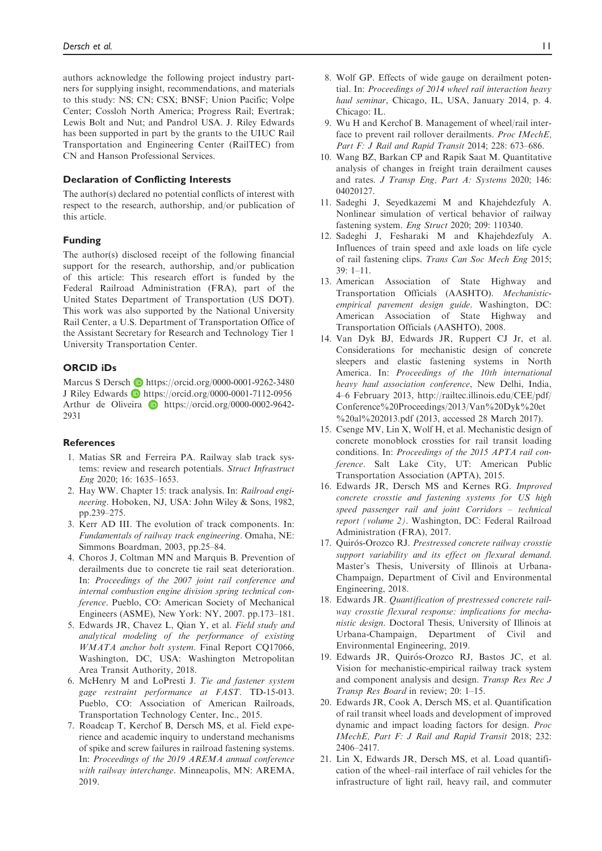authors acknowledge the following project industry partners for supplying insight, recommendations, and materials to this study: NS; CN; CSX; BNSF; Union Pacific; Volpe Center; Cossloh North America; Progress Rail; Evertrak; Lewis Bolt and Nut; and Pandrol USA. J. Riley Edwards has been supported in part by the grants to the UIUC Rail Transportation and Engineering Center (RailTEC) from CN and Hanson Professional Services.

#### Declaration of Conflicting Interests

The author(s) declared no potential conflicts of interest with respect to the research, authorship, and/or publication of this article.

#### Funding

The author(s) disclosed receipt of the following financial support for the research, authorship, and/or publication of this article: This research effort is funded by the Federal Railroad Administration (FRA), part of the United States Department of Transportation (US DOT). This work was also supported by the National University Rail Center, a U.S. Department of Transportation Office of the Assistant Secretary for Research and Technology Tier 1 University Transportation Center.

#### ORCID iDs

Marcus S Dersch **b** <https://orcid.org/0000-0001-9262-3480> J Riley Edwards <https://orcid.org/0000-0001-7112-0956> Arthur de Oliveira **D** [https://orcid.org/0000-0002-9642-](https://orcid.org/0000-0002-9642-2931) [2931](https://orcid.org/0000-0002-9642-2931)

#### **References**

- 1. Matias SR and Ferreira PA. Railway slab track systems: review and research potentials. Struct Infrastruct Eng 2020; 16: 1635–1653.
- 2. Hay WW. Chapter 15: track analysis. In: Railroad engineering. Hoboken, NJ, USA: John Wiley & Sons, 1982, pp.239–275.
- 3. Kerr AD III. The evolution of track components. In: Fundamentals of railway track engineering. Omaha, NE: Simmons Boardman, 2003, pp.25–84.
- 4. Choros J, Coltman MN and Marquis B. Prevention of derailments due to concrete tie rail seat deterioration. In: Proceedings of the 2007 joint rail conference and internal combustion engine division spring technical conference. Pueblo, CO: American Society of Mechanical Engineers (ASME), New York: NY, 2007. pp.173–181.
- 5. Edwards JR, Chavez L, Qian Y, et al. Field study and analytical modeling of the performance of existing WMATA anchor bolt system. Final Report CQ17066, Washington, DC, USA: Washington Metropolitan Area Transit Authority, 2018.
- 6. McHenry M and LoPresti J. Tie and fastener system gage restraint performance at FAST. TD-15-013. Pueblo, CO: Association of American Railroads, Transportation Technology Center, Inc., 2015.
- 7. Roadcap T, Kerchof B, Dersch MS, et al. Field experience and academic inquiry to understand mechanisms of spike and screw failures in railroad fastening systems. In: Proceedings of the 2019 AREMA annual conference with railway interchange. Minneapolis, MN: AREMA, 2019.
- 8. Wolf GP. Effects of wide gauge on derailment potential. In: Proceedings of 2014 wheel rail interaction heavy haul seminar, Chicago, IL, USA, January 2014, p. 4. Chicago: IL.
- 9. Wu H and Kerchof B. Management of wheel/rail interface to prevent rail rollover derailments. Proc IMechE, Part F: J Rail and Rapid Transit 2014; 228: 673–686.
- 10. Wang BZ, Barkan CP and Rapik Saat M. Quantitative analysis of changes in freight train derailment causes and rates. J Transp Eng, Part A: Systems 2020; 146: 04020127.
- 11. Sadeghi J, Seyedkazemi M and Khajehdezfuly A. Nonlinear simulation of vertical behavior of railway fastening system. Eng Struct 2020; 209: 110340.
- 12. Sadeghi J, Fesharaki M and Khajehdezfuly A. Influences of train speed and axle loads on life cycle of rail fastening clips. Trans Can Soc Mech Eng 2015;  $39 \cdot 1 - 11$
- 13. American Association of State Highway and Transportation Officials (AASHTO). Mechanisticempirical pavement design guide. Washington, DC: American Association of State Highway and Transportation Officials (AASHTO), 2008.
- 14. Van Dyk BJ, Edwards JR, Ruppert CJ Jr, et al. Considerations for mechanistic design of concrete sleepers and elastic fastening systems in North America. In: Proceedings of the 10th international heavy haul association conference, New Delhi, India, 4–6 February 2013, [http://railtec.illinois.edu/CEE/pdf/](http://railtec.illinois.edu/CEE/pdf/Conference%20Proceedings/2013/Van%20Dyk%20et%20al%202013.pdf) [Conference%20Proceedings/2013/Van%20Dyk%20et](http://railtec.illinois.edu/CEE/pdf/Conference%20Proceedings/2013/Van%20Dyk%20et%20al%202013.pdf) %[20al%202013.pdf](http://railtec.illinois.edu/CEE/pdf/Conference%20Proceedings/2013/Van%20Dyk%20et%20al%202013.pdf) (2013, accessed 28 March 2017).
- 15. Csenge MV, Lin X, Wolf H, et al. Mechanistic design of concrete monoblock crossties for rail transit loading conditions. In: Proceedings of the 2015 APTA rail conference. Salt Lake City, UT: American Public Transportation Association (APTA), 2015.
- 16. Edwards JR, Dersch MS and Kernes RG. Improved concrete crosstie and fastening systems for US high speed passenger rail and joint Corridors – technical report (volume 2). Washington, DC: Federal Railroad Administration (FRA), 2017.
- 17. Quirós-Orozco RJ. Prestressed concrete railway crosstie support variability and its effect on flexural demand. Master's Thesis, University of Illinois at Urbana-Champaign, Department of Civil and Environmental Engineering, 2018.
- 18. Edwards JR. Quantification of prestressed concrete railway crosstie flexural response: implications for mechanistic design. Doctoral Thesis, University of Illinois at Urbana-Champaign, Department of Civil and Environmental Engineering, 2019.
- 19. Edwards JR, Quirós-Orozco RJ, Bastos JC, et al. Vision for mechanistic-empirical railway track system and component analysis and design. Transp Res Rec J Transp Res Board in review; 20: 1–15.
- 20. Edwards JR, Cook A, Dersch MS, et al. Quantification of rail transit wheel loads and development of improved dynamic and impact loading factors for design. Proc IMechE, Part F: J Rail and Rapid Transit 2018; 232: 2406–2417.
- 21. Lin X, Edwards JR, Dersch MS, et al. Load quantification of the wheel–rail interface of rail vehicles for the infrastructure of light rail, heavy rail, and commuter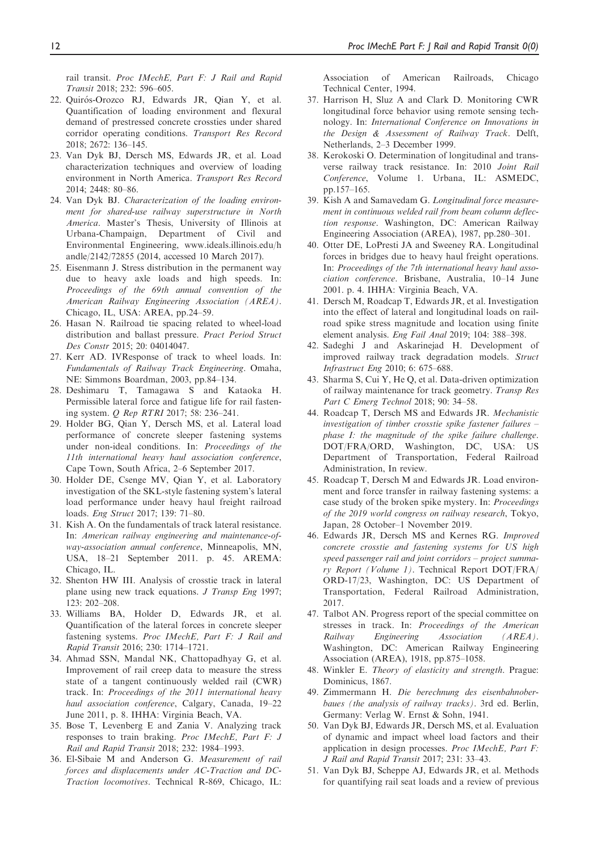rail transit. Proc IMechE, Part F: J Rail and Rapid Transit 2018; 232: 596–605.

- 22. Quirós-Orozco RJ, Edwards JR, Qian Y, et al. Quantification of loading environment and flexural demand of prestressed concrete crossties under shared corridor operating conditions. Transport Res Record 2018; 2672: 136–145.
- 23. Van Dyk BJ, Dersch MS, Edwards JR, et al. Load characterization techniques and overview of loading environment in North America. Transport Res Record 2014; 2448: 80–86.
- 24. Van Dyk BJ. Characterization of the loading environment for shared-use railway superstructure in North America. Master's Thesis, University of Illinois at Urbana-Champaign, Department of Civil and Environmental Engineering, [www.ideals.illinois.edu/h](http://www.ideals.illinois.edu/handle/2142/72855) [andle/2142/72855](http://www.ideals.illinois.edu/handle/2142/72855) (2014, accessed 10 March 2017).
- 25. Eisenmann J. Stress distribution in the permanent way due to heavy axle loads and high speeds. In: Proceedings of the 69th annual convention of the American Railway Engineering Association (AREA). Chicago, IL, USA: AREA, pp.24–59.
- 26. Hasan N. Railroad tie spacing related to wheel-load distribution and ballast pressure. Pract Period Struct Des Constr 2015; 20: 04014047.
- 27. Kerr AD. IVResponse of track to wheel loads. In: Fundamentals of Railway Track Engineering. Omaha, NE: Simmons Boardman, 2003, pp.84–134.
- 28. Deshimaru T, Tamagawa S and Kataoka H. Permissible lateral force and fatigue life for rail fastening system. Q Rep RTRI 2017; 58: 236–241.
- 29. Holder BG, Qian Y, Dersch MS, et al. Lateral load performance of concrete sleeper fastening systems under non-ideal conditions. In: Proceedings of the 11th international heavy haul association conference, Cape Town, South Africa, 2–6 September 2017.
- 30. Holder DE, Csenge MV, Qian Y, et al. Laboratory investigation of the SKL-style fastening system's lateral load performance under heavy haul freight railroad loads. Eng Struct 2017; 139: 71–80.
- 31. Kish A. On the fundamentals of track lateral resistance. In: American railway engineering and maintenance-ofway-association annual conference, Minneapolis, MN, USA, 18–21 September 2011. p. 45. AREMA: Chicago, IL.
- 32. Shenton HW III. Analysis of crosstie track in lateral plane using new track equations. J Transp Eng 1997; 123: 202–208.
- 33. Williams BA, Holder D, Edwards JR, et al. Quantification of the lateral forces in concrete sleeper fastening systems. Proc IMechE, Part F: J Rail and Rapid Transit 2016; 230: 1714–1721.
- 34. Ahmad SSN, Mandal NK, Chattopadhyay G, et al. Improvement of rail creep data to measure the stress state of a tangent continuously welded rail (CWR) track. In: Proceedings of the 2011 international heavy haul association conference, Calgary, Canada, 19-22 June 2011, p. 8. IHHA: Virginia Beach, VA.
- 35. Bose T, Levenberg E and Zania V. Analyzing track responses to train braking. Proc IMechE, Part F: J Rail and Rapid Transit 2018; 232: 1984–1993.
- 36. El-Sibaie M and Anderson G. Measurement of rail forces and displacements under AC-Traction and DC-Traction locomotives. Technical R-869, Chicago, IL:

Association of American Railroads, Chicago Technical Center, 1994.

- 37. Harrison H, Sluz A and Clark D. Monitoring CWR longitudinal force behavior using remote sensing technology. In: International Conference on Innovations in the Design & Assessment of Railway Track. Delft, Netherlands, 2–3 December 1999.
- 38. Kerokoski O. Determination of longitudinal and transverse railway track resistance. In: 2010 Joint Rail Conference, Volume 1. Urbana, IL: ASMEDC, pp.157–165.
- 39. Kish A and Samavedam G. Longitudinal force measurement in continuous welded rail from beam column deflection response. Washington, DC: American Railway Engineering Association (AREA), 1987, pp.280–301.
- 40. Otter DE, LoPresti JA and Sweeney RA. Longitudinal forces in bridges due to heavy haul freight operations. In: Proceedings of the 7th international heavy haul association conference. Brisbane, Australia, 10–14 June 2001. p. 4. IHHA: Virginia Beach, VA.
- 41. Dersch M, Roadcap T, Edwards JR, et al. Investigation into the effect of lateral and longitudinal loads on railroad spike stress magnitude and location using finite element analysis. Eng Fail Anal 2019; 104: 388–398.
- 42. Sadeghi J and Askarinejad H. Development of improved railway track degradation models. Struct Infrastruct Eng 2010; 6: 675–688.
- 43. Sharma S, Cui Y, He Q, et al. Data-driven optimization of railway maintenance for track geometry. Transp Res Part C Emerg Technol 2018; 90: 34–58.
- 44. Roadcap T, Dersch MS and Edwards JR. Mechanistic investigation of timber crosstie spike fastener failures – phase I: the magnitude of the spike failure challenge. DOT/FRA/ORD, Washington, DC, USA: US Department of Transportation, Federal Railroad Administration, In review.
- 45. Roadcap T, Dersch M and Edwards JR. Load environment and force transfer in railway fastening systems: a case study of the broken spike mystery. In: Proceedings of the 2019 world congress on railway research, Tokyo, Japan, 28 October–1 November 2019.
- 46. Edwards JR, Dersch MS and Kernes RG. Improved concrete crosstie and fastening systems for US high speed passenger rail and joint corridors – project summary Report (Volume 1). Technical Report DOT/FRA/ ORD-17/23, Washington, DC: US Department of Transportation, Federal Railroad Administration, 2017.
- 47. Talbot AN. Progress report of the special committee on stresses in track. In: Proceedings of the American Railway Engineering Association (AREA). Washington, DC: American Railway Engineering Association (AREA), 1918, pp.875–1058.
- 48. Winkler E. Theory of elasticity and strength. Prague: Dominicus, 1867.
- 49. Zimmermann H. Die berechnung des eisenbahnoberbaues (the analysis of railway tracks). 3rd ed. Berlin, Germany: Verlag W. Ernst & Sohn, 1941.
- 50. Van Dyk BJ, Edwards JR, Dersch MS, et al. Evaluation of dynamic and impact wheel load factors and their application in design processes. Proc IMechE, Part F: J Rail and Rapid Transit 2017; 231: 33–43.
- 51. Van Dyk BJ, Scheppe AJ, Edwards JR, et al. Methods for quantifying rail seat loads and a review of previous